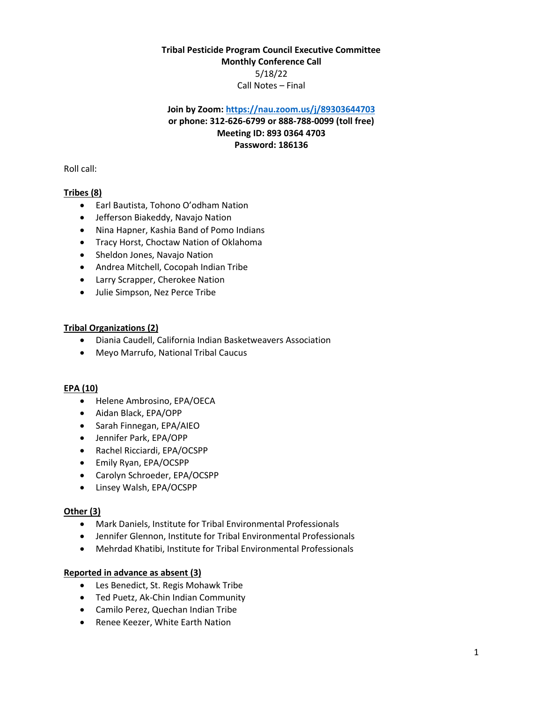# **Tribal Pesticide Program Council Executive Committee Monthly Conference Call** 5/18/22 Call Notes – Final

# **Join by Zoom[: https://nau.zoom.us/j/89303644703](https://nau.zoom.us/j/89303644703) or phone: 312-626-6799 or 888-788-0099 (toll free) Meeting ID: 893 0364 4703 Password: 186136**

Roll call:

# **Tribes (8)**

- Earl Bautista, Tohono O'odham Nation
- Jefferson Biakeddy, Navajo Nation
- Nina Hapner, Kashia Band of Pomo Indians
- Tracy Horst, Choctaw Nation of Oklahoma
- Sheldon Jones, Navajo Nation
- Andrea Mitchell, Cocopah Indian Tribe
- Larry Scrapper, Cherokee Nation
- Julie Simpson, Nez Perce Tribe

## **Tribal Organizations (2)**

- Diania Caudell, California Indian Basketweavers Association
- Meyo Marrufo, National Tribal Caucus

### **EPA (10)**

- Helene Ambrosino, EPA/OECA
- Aidan Black, EPA/OPP
- Sarah Finnegan, EPA/AIEO
- Jennifer Park, EPA/OPP
- Rachel Ricciardi, EPA/OCSPP
- Emily Ryan, EPA/OCSPP
- Carolyn Schroeder, EPA/OCSPP
- Linsey Walsh, EPA/OCSPP

### **Other (3)**

- Mark Daniels, Institute for Tribal Environmental Professionals
- Jennifer Glennon, Institute for Tribal Environmental Professionals
- Mehrdad Khatibi, Institute for Tribal Environmental Professionals

## **Reported in advance as absent (3)**

- Les Benedict, St. Regis Mohawk Tribe
- Ted Puetz, Ak-Chin Indian Community
- Camilo Perez, Quechan Indian Tribe
- Renee Keezer, White Earth Nation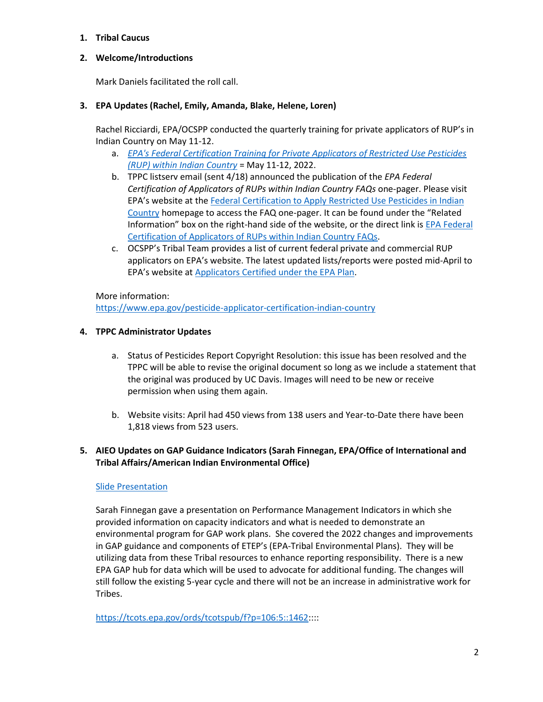## **1. Tribal Caucus**

# **2. Welcome/Introductions**

Mark Daniels facilitated the roll call.

## **3. EPA Updates (Rachel, Emily, Amanda, Blake, Helene, Loren)**

Rachel Ricciardi, EPA/OCSPP conducted the quarterly training for private applicators of RUP's in Indian Country on May 11-12.

- a. *[EPA's Federal Certification Training for Private Applicators of Restricted Use Pesticides](https://www.epa.gov/pesticide-applicator-certification-indian-country)  [\(RUP\) within Indian Country](https://www.epa.gov/pesticide-applicator-certification-indian-country)* = May 11-12, 2022.
- b. TPPC listserv email (sent 4/18) announced the publication of the *EPA Federal Certification of Applicators of RUPs within Indian Country FAQs* one-pager. Please visit EPA's website at the [Federal Certification to Apply Restricted Use Pesticides in Indian](https://www.epa.gov/pesticide-applicator-certification-indian-country/applicators-certified-under-epa-plan)  [Country](https://www.epa.gov/pesticide-applicator-certification-indian-country/applicators-certified-under-epa-plan) homepage to access the FAQ one-pager. It can be found under the "Related Information" box on the right-hand side of the website, or the direct link is [EPA Federal](https://www.epa.gov/pesticide-applicator-certification-indian-country/epa-federal-certification-applicators-rups-within)  [Certification of Applicators of RUPs within Indian Country FAQs.](https://www.epa.gov/pesticide-applicator-certification-indian-country/epa-federal-certification-applicators-rups-within)
- c. OCSPP's Tribal Team provides a list of current federal private and commercial RUP applicators on EPA's website. The latest updated lists/reports were posted mid-April to EPA's website at [Applicators Certified under the EPA Plan.](https://www.epa.gov/pesticide-applicator-certification-indian-country/applicators-certified-under-epa-plan)

### More information:

<https://www.epa.gov/pesticide-applicator-certification-indian-country>

## **4. TPPC Administrator Updates**

- a. Status of Pesticides Report Copyright Resolution: this issue has been resolved and the TPPC will be able to revise the original document so long as we include a statement that the original was produced by UC Davis. Images will need to be new or receive permission when using them again.
- b. Website visits: April had 450 views from 138 users and Year-to-Date there have been 1,818 views from 523 users.

# **5. AIEO Updates on GAP Guidance Indicators (Sarah Finnegan, EPA/Office of International and Tribal Affairs/American Indian Environmental Office)**

### [Slide Presentation](http://tppcwebsite.org/wp-content/uploads/2022/06/Performance-Management_Indicators-TPGs-5.18.22.pdf)

Sarah Finnegan gave a presentation on Performance Management Indicators in which she provided information on capacity indicators and what is needed to demonstrate an environmental program for GAP work plans. She covered the 2022 changes and improvements in GAP guidance and components of ETEP's (EPA-Tribal Environmental Plans). They will be utilizing data from these Tribal resources to enhance reporting responsibility. There is a new EPA GAP hub for data which will be used to advocate for additional funding. The changes will still follow the existing 5-year cycle and there will not be an increase in administrative work for Tribes.

[https://tcots.epa.gov/ords/tcotspub/f?p=106:5::1462:](https://tcots.epa.gov/ords/tcotspub/f?p=106:5::1462):::